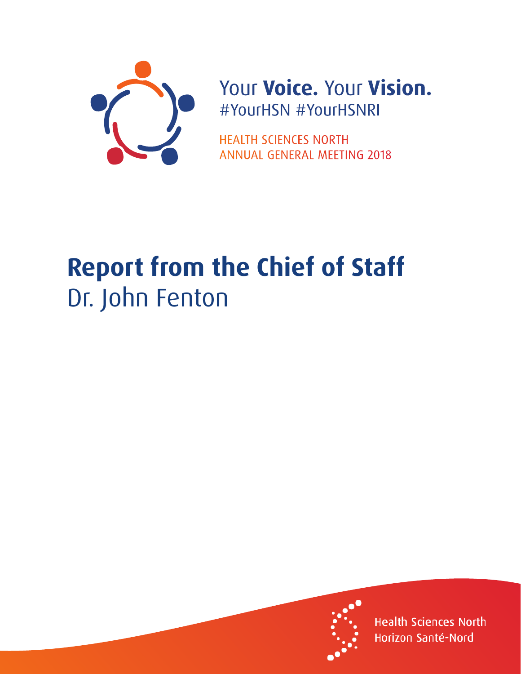

## Your Voice. Your Vision. #YourHSN #YourHSNRI

**HEALTH SCIENCES NORTH ANNUAL GENERAL MEETING 2018** 

## **Report from the Chief of Staff** Dr. John Fenton



**Health Sciences North** Horizon Santé-Nord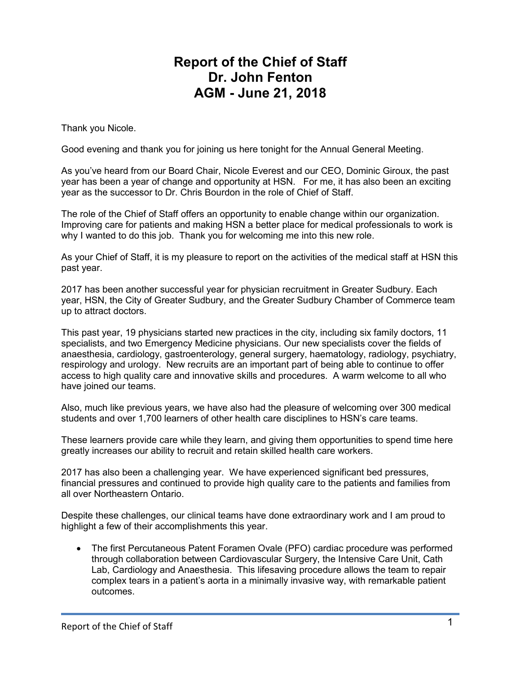## **Report of the Chief of Staff Dr. John Fenton AGM - June 21, 2018**

Thank you Nicole.

Good evening and thank you for joining us here tonight for the Annual General Meeting.

As you've heard from our Board Chair, Nicole Everest and our CEO, Dominic Giroux, the past year has been a year of change and opportunity at HSN. For me, it has also been an exciting year as the successor to Dr. Chris Bourdon in the role of Chief of Staff.

The role of the Chief of Staff offers an opportunity to enable change within our organization. Improving care for patients and making HSN a better place for medical professionals to work is why I wanted to do this job. Thank you for welcoming me into this new role.

As your Chief of Staff, it is my pleasure to report on the activities of the medical staff at HSN this past year.

2017 has been another successful year for physician recruitment in Greater Sudbury. Each year, HSN, the City of Greater Sudbury, and the Greater Sudbury Chamber of Commerce team up to attract doctors.

This past year, 19 physicians started new practices in the city, including six family doctors, 11 specialists, and two Emergency Medicine physicians. Our new specialists cover the fields of anaesthesia, cardiology, gastroenterology, general surgery, haematology, radiology, psychiatry, respirology and urology. New recruits are an important part of being able to continue to offer access to high quality care and innovative skills and procedures. A warm welcome to all who have joined our teams.

Also, much like previous years, we have also had the pleasure of welcoming over 300 medical students and over 1,700 learners of other health care disciplines to HSN's care teams.

These learners provide care while they learn, and giving them opportunities to spend time here greatly increases our ability to recruit and retain skilled health care workers.

2017 has also been a challenging year. We have experienced significant bed pressures, financial pressures and continued to provide high quality care to the patients and families from all over Northeastern Ontario.

Despite these challenges, our clinical teams have done extraordinary work and I am proud to highlight a few of their accomplishments this year.

 The first Percutaneous Patent Foramen Ovale (PFO) cardiac procedure was performed through collaboration between Cardiovascular Surgery, the Intensive Care Unit, Cath Lab, Cardiology and Anaesthesia. This lifesaving procedure allows the team to repair complex tears in a patient's aorta in a minimally invasive way, with remarkable patient outcomes.